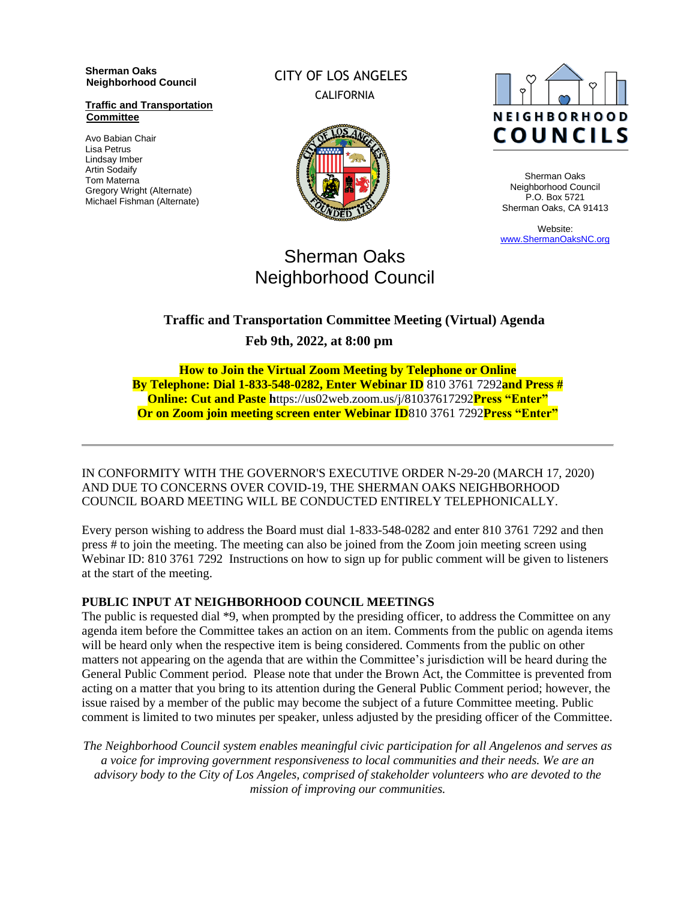**Sherman Oaks Neighborhood Council** 

**Traffic and Transportation Committee**

Avo Babian Chair Lisa Petrus Lindsay Imber Artin Sodaify Tom Materna Gregory Wright (Alternate) Michael Fishman (Alternate) CITY OF LOS ANGELES CALIFORNIA





Sherman Oaks Neighborhood Council P.O. Box 5721 Sherman Oaks, CA 91413

Website: [www.ShermanOaksNC.org](http://www.shermanoaksnc.org/)

# Sherman Oaks Neighborhood Council

# **Traffic and Transportation Committee Meeting (Virtual) Agenda Feb 9th, 2022, at 8:00 pm**

**How to Join the Virtual Zoom Meeting by Telephone or Online By Telephone: Dial 1-833-548-0282, Enter Webinar ID** 810 3761 7292**and Press # Online: Cut and Paste h**ttps://us02web.zoom.us/j/81037617292**Press "Enter" Or on Zoom join meeting screen enter Webinar ID**810 3761 7292**Press "Enter"**

IN CONFORMITY WITH THE GOVERNOR'S EXECUTIVE ORDER N-29-20 (MARCH 17, 2020) AND DUE TO CONCERNS OVER COVID-19, THE SHERMAN OAKS NEIGHBORHOOD COUNCIL BOARD MEETING WILL BE CONDUCTED ENTIRELY TELEPHONICALLY.

Every person wishing to address the Board must dial 1-833-548-0282 and enter 810 3761 7292 and then press # to join the meeting. The meeting can also be joined from the Zoom join meeting screen using Webinar ID: 810 3761 7292 Instructions on how to sign up for public comment will be given to listeners at the start of the meeting.

#### **PUBLIC INPUT AT NEIGHBORHOOD COUNCIL MEETINGS**

The public is requested dial \*9, when prompted by the presiding officer, to address the Committee on any agenda item before the Committee takes an action on an item. Comments from the public on agenda items will be heard only when the respective item is being considered. Comments from the public on other matters not appearing on the agenda that are within the Committee's jurisdiction will be heard during the General Public Comment period. Please note that under the Brown Act, the Committee is prevented from acting on a matter that you bring to its attention during the General Public Comment period; however, the issue raised by a member of the public may become the subject of a future Committee meeting. Public comment is limited to two minutes per speaker, unless adjusted by the presiding officer of the Committee.

*The Neighborhood Council system enables meaningful civic participation for all Angelenos and serves as a voice for improving government responsiveness to local communities and their needs. We are an advisory body to the City of Los Angeles, comprised of stakeholder volunteers who are devoted to the mission of improving our communities.*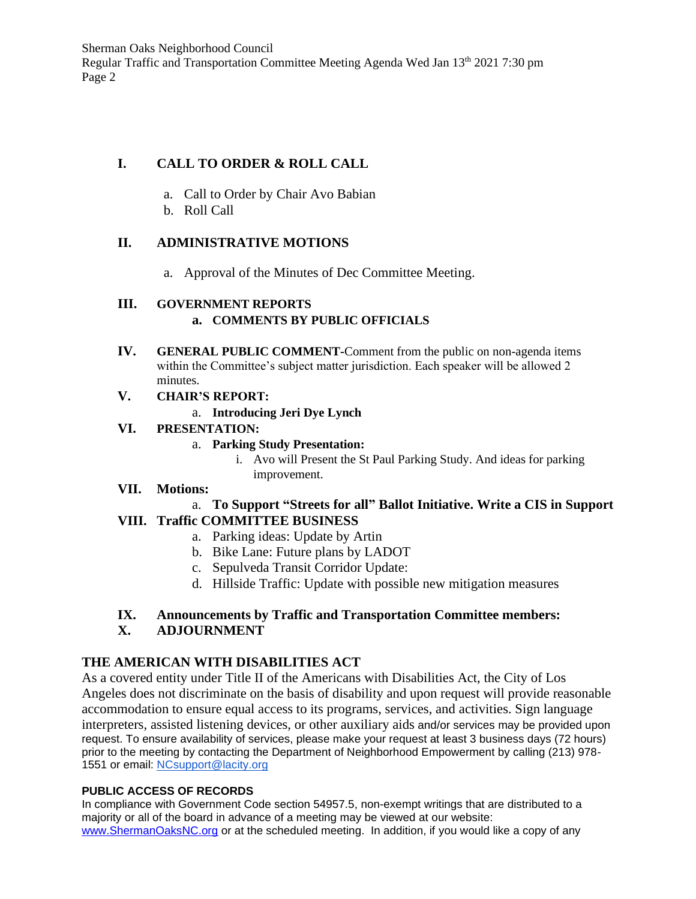# **I. CALL TO ORDER & ROLL CALL**

- a. Call to Order by Chair Avo Babian
- b. Roll Call

# **II. ADMINISTRATIVE MOTIONS**

a. Approval of the Minutes of Dec Committee Meeting.

# **III. GOVERNMENT REPORTS**

#### **a. COMMENTS BY PUBLIC OFFICIALS**

- **IV. GENERAL PUBLIC COMMENT-**Comment from the public on non-agenda items within the Committee's subject matter jurisdiction. Each speaker will be allowed 2 minutes.
- **V. CHAIR'S REPORT:**

#### a. **Introducing Jeri Dye Lynch**

#### **VI. PRESENTATION:**

- a. **Parking Study Presentation:**
	- i. Avo will Present the St Paul Parking Study. And ideas for parking improvement.

# **VII. Motions:**

#### a. **To Support "Streets for all" Ballot Initiative. Write a CIS in Support VIII. Traffic COMMITTEE BUSINESS**

- a. Parking ideas: Update by Artin
- b. Bike Lane: Future plans by LADOT
- c. Sepulveda Transit Corridor Update:
- d. Hillside Traffic: Update with possible new mitigation measures

#### **IX. Announcements by Traffic and Transportation Committee members: X. ADJOURNMENT**

# **THE AMERICAN WITH DISABILITIES ACT**

As a covered entity under Title II of the Americans with Disabilities Act, the City of Los Angeles does not discriminate on the basis of disability and upon request will provide reasonable accommodation to ensure equal access to its programs, services, and activities. Sign language interpreters, assisted listening devices, or other auxiliary aids and/or services may be provided upon request. To ensure availability of services, please make your request at least 3 business days (72 hours) prior to the meeting by contacting the Department of Neighborhood Empowerment by calling (213) 978- 1551 or email: [NCsupport@lacity.org](mailto:NCsupport@lacity.org)

#### **PUBLIC ACCESS OF RECORDS**

In compliance with Government Code section 54957.5, non-exempt writings that are distributed to a majority or all of the board in advance of a meeting may be viewed at our website: [www.ShermanOaksNC.org](http://www.shermanoaksnc.org/) or at the scheduled meeting. In addition, if you would like a copy of any